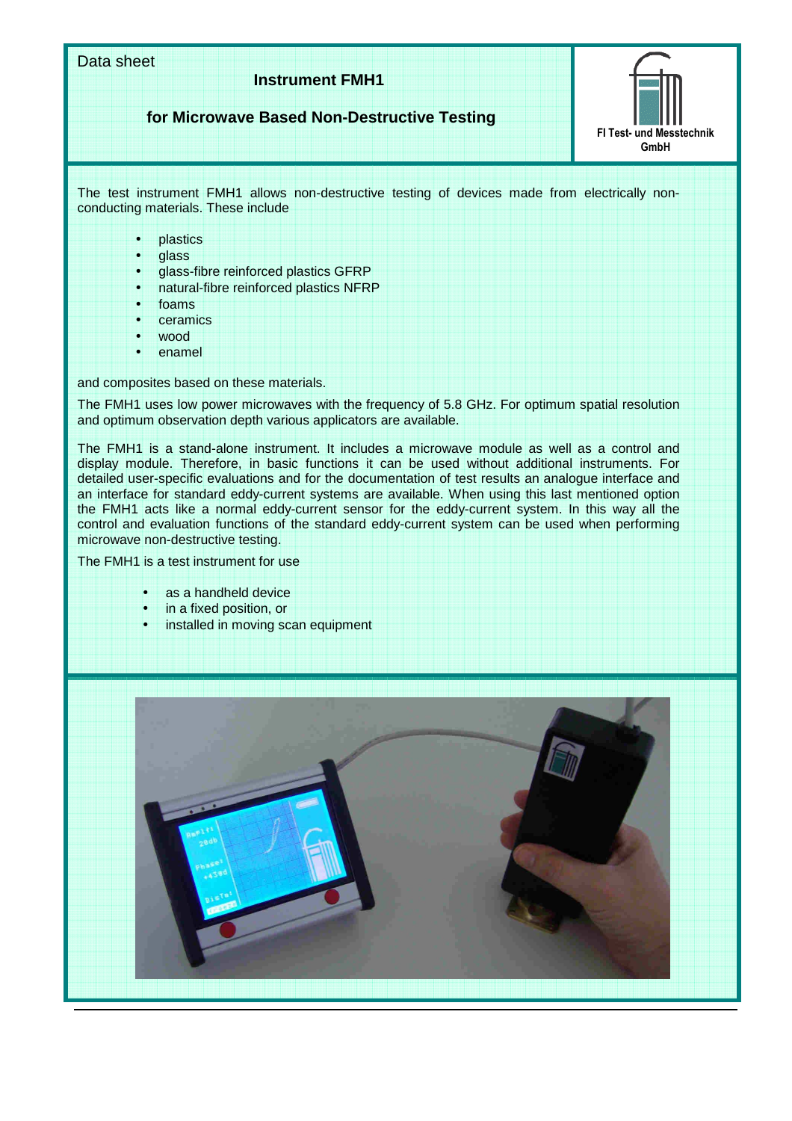Data sheet **Instrument FMH1 for Microwave Based Non-Destructive Testing**  FI Test- und Messtechnik GmbH The test instrument FMH1 allows non-destructive testing of devices made from electrically nonconducting materials. These include **plastics** • glass • glass-fibre reinforced plastics GFRP • natural-fibre reinforced plastics NFRP • foams • ceramics wood • enamel and composites based on these materials. The FMH1 uses low power microwaves with the frequency of 5.8 GHz. For optimum spatial resolution and optimum observation depth various applicators are available. The FMH1 is a stand-alone instrument. It includes a microwave module as well as a control and display module. Therefore, in basic functions it can be used without additional instruments. For detailed user-specific evaluations and for the documentation of test results an analogue interface and an interface for standard eddy-current systems are available. When using this last mentioned option the FMH1 acts like a normal eddy-current sensor for the eddy-current system. In this way all the control and evaluation functions of the standard eddy-current system can be used when performing microwave non-destructive testing. The FMH1 is a test instrument for use as a handheld device • in a fixed position, or installed in moving scan equipment